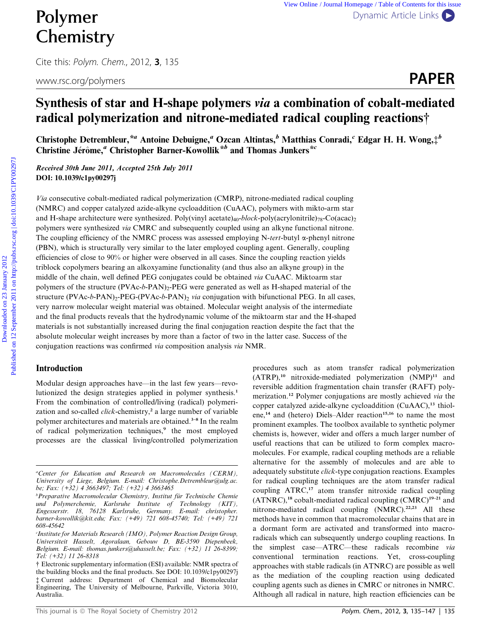# **Chemistry**

Cite this: Polym. Chem., 2012, <sup>3</sup>, 135

www.rsc.org/polymers **PAPER** 

# Synthesis of star and H-shape polymers via a combination of cobalt-mediated radical polymerization and nitrone-mediated radical coupling reactions†

Christophe Detrembleur,<sup>\*a</sup> Antoine Debuigne,<sup>a</sup> Ozcan Altintas,<sup>b</sup> Matthias Conradi,<sup>c</sup> Edgar H. H. Wong,<sup>+b</sup> Christine Jérôme,<sup>a</sup> Christopher Barner-Kowollik<sup>\*b</sup> and Thomas Junkers<sup>\*c</sup>

Received 30th June 2011, Accepted 25th July 2011 DOI: 10.1039/c1py00297j

Via consecutive cobalt-mediated radical polymerization (CMRP), nitrone-mediated radical coupling (NMRC) and copper catalyzed azide-alkyne cycloaddition (CuAAC), polymers with mikto-arm star and H-shape architecture were synthesized. Poly(vinyl acetate)<sub>40</sub>-block-poly(acrylonitrile)<sub>78</sub>-Co(acac)<sub>2</sub> polymers were synthesized via CMRC and subsequently coupled using an alkyne functional nitrone. The coupling efficiency of the NMRC process was assessed employing N-tert-butyl  $\alpha$ -phenyl nitrone (PBN), which is structurally very similar to the later employed coupling agent. Generally, coupling efficiencies of close to 90% or higher were observed in all cases. Since the coupling reaction yields triblock copolymers bearing an alkoxyamine functionality (and thus also an alkyne group) in the middle of the chain, well defined PEG conjugates could be obtained via CuAAC. Miktoarm star polymers of the structure  $(PVAc-b-PAN)_2$ -PEG were generated as well as H-shaped material of the structure (PVAc-b-PAN)<sub>2</sub>-PEG-(PVAc-b-PAN)<sub>2</sub> via conjugation with bifunctional PEG. In all cases, very narrow molecular weight material was obtained. Molecular weight analysis of the intermediate and the final products reveals that the hydrodynamic volume of the miktoarm star and the H-shaped materials is not substantially increased during the final conjugation reaction despite the fact that the absolute molecular weight increases by more than a factor of two in the latter case. Success of the conjugation reactions was confirmed via composition analysis via NMR. **Polymer** <sup>Vew Online *Lemministry* Depart Contents for the contents of 23 ABN of Contents of Contents of the September 2012 3, 135 www.rsc.org/polymers **Example 2012 Published on 12 September 2012 Published on 12 Septemb</sup>** 

# Introduction

Modular design approaches have—in the last few years—revolutionized the design strategies applied in polymer synthesis.<sup>1</sup> From the combination of controlled/living (radical) polymerization and so-called *click*-chemistry,<sup>2</sup> a large number of variable polymer architectures and materials are obtained.3–8 In the realm of radical polymerization techniques,<sup>9</sup> the most employed processes are the classical living/controlled polymerization procedures such as atom transfer radical polymerization  $(ATRP)^{10}$  nitroxide-mediated polymerization  $(NMP)^{11}$  and reversible addition fragmentation chain transfer (RAFT) polymerization.<sup>12</sup> Polymer conjugations are mostly achieved via the copper catalyzed azide-alkyne cycloaddition (CuAAC),<sup>13</sup> thiolene,<sup>14</sup> and (hetero) Diels–Alder reaction<sup>15,16</sup> to name the most prominent examples. The toolbox available to synthetic polymer chemists is, however, wider and offers a much larger number of useful reactions that can be utilized to form complex macromolecules. For example, radical coupling methods are a reliable alternative for the assembly of molecules and are able to adequately substitute click-type conjugation reactions. Examples for radical coupling techniques are the atom transfer radical coupling ATRC,<sup>17</sup> atom transfer nitroxide radical coupling  $(ATNRC),$ <sup>18</sup> cobalt-mediated radical coupling  $(CMRC)^{19-21}$  and nitrone-mediated radical coupling (NMRC).<sup>22,23</sup> All these methods have in common that macromolecular chains that are in a dormant form are activated and transformed into macroradicals which can subsequently undergo coupling reactions. In the simplest case—ATRC—these radicals recombine via conventional termination reactions. Yet, cross-coupling approaches with stable radicals (in ATNRC) are possible as well as the mediation of the coupling reaction using dedicated coupling agents such as dienes in CMRC or nitrones in NMRC. Although all radical in nature, high reaction efficiencies can be

a Center for Education and Research on Macromolecules (CERM), University of Liege, Belgium. E-mail: Christophe.Detrembleur@ulg.ac. be; Fax: (+32) 4 3663497; Tel: (+32) 4 3663465

<sup>&</sup>lt;sup>b</sup>Preparative Macromolecular Chemistry, Institut für Technische Chemie und Polymerchemie, Karlsruhe Institute of Technology (KIT), Engesserstr. 18, 76128 Karlsruhe, Germany. E-mail: christopher. barner-kowollik@kit.edu; Fax: (+49) 721 608-45740; Tel: (+49) 721 608-45642

c Institute for Materials Research (IMO), Polymer Reaction Design Group, Universiteit Hasselt, Agoralaan, Gebouw D, BE-3590 Diepenbeek, Belgium. E-mail: thomas.junkers@uhasselt.be; Fax: (+32) 11 26-8399; Tel: (+32) 11 26-8318

<sup>†</sup> Electronic supplementary information (ESI) available: NMR spectra of the building blocks and the final products. See DOI: 10.1039/c1py00297j ‡ Current address: Department of Chemical and Biomolecular Engineering, The University of Melbourne, Parkville, Victoria 3010, Australia.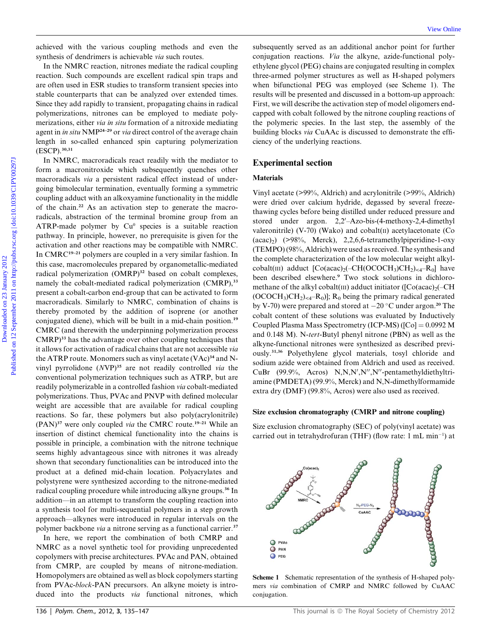achieved with the various coupling methods and even the synthesis of dendrimers is achievable via such routes.

In the NMRC reaction, nitrones mediate the radical coupling reaction. Such compounds are excellent radical spin traps and are often used in ESR studies to transform transient species into stable counterparts that can be analyzed over extended times. Since they add rapidly to transient, propagating chains in radical polymerizations, nitrones can be employed to mediate polymerizations, either via in situ formation of a nitroxide mediating agent in in situ NMP<sup>24-29</sup> or via direct control of the average chain length in so-called enhanced spin capturing polymerization (ESCP).30,31

In NMRC, macroradicals react readily with the mediator to form a macronitroxide which subsequently quenches other macroradicals via a persistent radical effect instead of undergoing bimolecular termination, eventually forming a symmetric coupling adduct with an alkoxyamine functionality in the middle of the chain.<sup>22</sup> As an activation step to generate the macroradicals, abstraction of the terminal bromine group from an ATRP-made polymer by  $Cu<sup>0</sup>$  species is a suitable reaction pathway. In principle, however, no prerequisite is given for the activation and other reactions may be compatible with NMRC. In CMRC<sup>19–21</sup> polymers are coupled in a very similar fashion. In this case, macromolecules prepared by organometallic-mediated radical polymerization (OMRP)<sup>32</sup> based on cobalt complexes, namely the cobalt-mediated radical polymerization (CMRP),<sup>33</sup> present a cobalt-carbon end-group that can be activated to form macroradicals. Similarly to NMRC, combination of chains is thereby promoted by the addition of isoprene (or another conjugated diene), which will be built in a mid-chain position.<sup>19</sup>

CMRC (and therewith the underpinning polymerization process CMRP)<sup>33</sup> has the advantage over other coupling techniques that it allows for activation of radical chains that are not accessible via the ATRP route. Monomers such as vinyl acetate  $(VAc)^{34}$  and Nvinyl pyrrolidone  $(NVP)^{35}$  are not readily controlled via the conventional polymerization techniques such as ATRP, but are readily polymerizable in a controlled fashion via cobalt-mediated polymerizations. Thus, PVAc and PNVP with defined molecular weight are accessible that are available for radical coupling reactions. So far, these polymers but also poly(acrylonitrile) (PAN)<sup>37</sup> were only coupled via the CMRC route.<sup>19-21</sup> While an insertion of distinct chemical functionality into the chains is possible in principle, a combination with the nitrone technique seems highly advantageous since with nitrones it was already shown that secondary functionalities can be introduced into the product at a defined mid-chain location. Polyacrylates and polystyrene were synthesized according to the nitrone-mediated radical coupling procedure while introducing alkyne groups.<sup>36</sup> In addition—in an attempt to transform the coupling reaction into a synthesis tool for multi-sequential polymers in a step growth approach—alkynes were introduced in regular intervals on the polymer backbone *via* a nitrone serving as a functional carrier.<sup>37</sup>

In here, we report the combination of both CMRP and NMRC as a novel synthetic tool for providing unprecedented copolymers with precise architectures. PVAc and PAN, obtained from CMRP, are coupled by means of nitrone-mediation. Homopolymers are obtained as well as block copolymers starting from PVAc-block-PAN precursors. An alkyne moiety is introduced into the products via functional nitrones, which

subsequently served as an additional anchor point for further conjugation reactions. Via the alkyne, azide-functional polyethylene glycol (PEG) chains are conjugated resulting in complex three-armed polymer structures as well as H-shaped polymers when bifunctional PEG was employed (see Scheme 1). The results will be presented and discussed in a bottom-up approach: First, we will describe the activation step of model oligomers endcapped with cobalt followed by the nitrone coupling reactions of the polymeric species. In the last step, the assembly of the building blocks via CuAAc is discussed to demonstrate the efficiency of the underlying reactions.

#### Experimental section

#### Materials

Vinyl acetate (>99%, Aldrich) and acrylonitrile (>99%, Aldrich) were dried over calcium hydride, degassed by several freezethawing cycles before being distilled under reduced pressure and stored under argon.  $2,2'$ -Azo-bis-(4-methoxy-2,4-dimethyl valeronitrile) (V-70) (Wako) and cobalt $(II)$  acetylacetonate (Co (acac)2) (>98%, Merck), 2,2,6,6-tetramethylpiperidine-1-oxy (TEMPO) (98%, Aldrich) were used as received. The synthesis and the complete characterization of the low molecular weight alkylcobalt(III) adduct  $[Co(acac)<sub>2</sub>(-CH(OCOCH<sub>3</sub>)CH<sub>2</sub>)<sub><4</sub>-R<sub>0</sub>]$  have been described elsewhere.<sup>9</sup> Two stock solutions in dichloromethane of the alkyl cobalt(III) adduct initiator ( $[Co(acac)<sub>2</sub>(-CH$  $(OCOCH<sub>3</sub>)CH<sub>2</sub>)<sub>4</sub>-R<sub>0</sub>)$ ; R<sub>0</sub> being the primary radical generated by V-70) were prepared and stored at  $-20$  °C under argon.<sup>20</sup> The cobalt content of these solutions was evaluated by Inductively Coupled Plasma Mass Spectrometry (ICP-MS) ( $[Co] = 0.0992 M$ and 0.148 M). N-tert-Butyl phenyl nitrone (PBN) as well as the alkyne-functional nitrones were synthesized as described previously.31,36 Polyethylene glycol materials, tosyl chloride and sodium azide were obtained from Aldrich and used as received. CuBr  $(99.9\%,$  Acros) N,N,N',N'',N''-pentamethyldiethyltriamine (PMDETA) (99.9%, Merck) and N,N-dimethylformamide extra dry (DMF) (99.8%, Acros) were also used as received. actioned with the various coupling methods and oon the adaptagoutly seved as an additional neutron in the system of the contribution in the system and contribution in the system and contribution in the system and the syst

#### Size exclusion chromatography (CMRP and nitrone coupling)

Size exclusion chromatography (SEC) of poly(vinyl acetate) was carried out in tetrahydrofuran (THF) (flow rate: 1 mL min<sup>-1</sup>) at



Scheme 1 Schematic representation of the synthesis of H-shaped polymers via combination of CMRP and NMRC followed by CuAAC conjugation.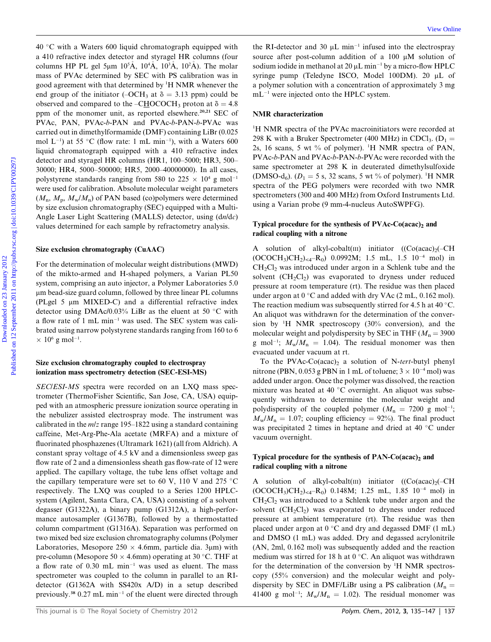$40^{\circ}$ C with a Waters 600 liquid chromatograph equipped with a 410 refractive index detector and styragel HR columns (four columns HP PL gel 5µm  $10^5$ Å,  $10^4$ Å,  $10^3$ Å,  $10^2$ Å). The molar mass of PVAc determined by SEC with PS calibration was in good agreement with that determined by <sup>1</sup>H NMR whenever the end group of the initiator (–OCH<sub>3</sub> at  $\delta = 3.13$  ppm) could be observed and compared to the –CHOCOCH<sub>3</sub> proton at  $\delta = 4.8$ ppm of the monomer unit, as reported elsewhere.<sup>20,21</sup> SEC of PVAc, PAN, PVAc-b-PAN and PVAc-b-PAN-b-PVAc was carried out in dimethylformamide (DMF) containing LiBr (0.025 mol  $L^{-1}$ ) at 55 °C (flow rate: 1 mL min<sup>-1</sup>), with a Waters 600 liquid chromatograph equipped with a 410 refractive index detector and styragel HR columns (HR1, 100–5000; HR3, 500– 30000; HR4, 5000–500000; HR5, 2000–40000000). In all cases, polystyrene standards ranging from 580 to  $225 \times 10^4$  g mol<sup>-1</sup> were used for calibration. Absolute molecular weight parameters  $(M_n, M_n, M_w/M_n)$  of PAN based (co)polymers were determined by size exclusion chromatography (SEC) equipped with a Multi-Angle Laser Light Scattering (MALLS) detector, using (dn/dc) values determined for each sample by refractometry analysis. do C or in do Real to the Real to the Real to the Real to the Real to the Real of the Consense of the Real of the Real of a Distribution of a Bottomas consense of the Real of Manuari of the Neumari form some only and soli

#### Size exclusion chromatography (CuAAC)

For the determination of molecular weight distributions (MWD) of the mikto-armed and H-shaped polymers, a Varian PL50 system, comprising an auto injector, a Polymer Laboratories 5.0 mm bead-size guard column, followed by three linear PL columns (PLgel 5 µm MIXED-C) and a differential refractive index detector using DMAc/0.03% LiBr as the eluent at 50  $\degree$ C with a flow rate of 1 mL min-<sup>1</sup> was used. The SEC system was calibrated using narrow polystyrene standards ranging from 160 to 6  $\times$  10<sup>6</sup> g mol<sup>-1</sup>.

#### Size exclusion chromatography coupled to electrospray ionization mass spectrometry detection (SEC-ESI-MS)

SEC/ESI-MS spectra were recorded on an LXQ mass spectrometer (ThermoFisher Scientific, San Jose, CA, USA) equipped with an atmospheric pressure ionization source operating in the nebulizer assisted electrospray mode. The instrument was calibrated in the  $m/z$  range 195–1822 using a standard containing caffeine, Met-Arg-Phe-Ala acetate (MRFA) and a mixture of fluorinated phosphazenes (Ultramark 1621) (all from Aldrich). A constant spray voltage of 4.5 kV and a dimensionless sweep gas flow rate of 2 and a dimensionless sheath gas flow-rate of 12 were applied. The capillary voltage, the tube lens offset voltage and the capillary temperature were set to 60 V, 110 V and 275  $^{\circ}$ C respectively. The LXQ was coupled to a Series 1200 HPLCsystem (Agilent, Santa Clara, CA, USA) consisting of a solvent degasser (G1322A), a binary pump (G1312A), a high-performance autosampler (G1367B), followed by a thermostatted column compartment (G1316A). Separation was performed on two mixed bed size exclusion chromatography columns (Polymer Laboratories, Mesopore  $250 \times 4.6$ mm, particle dia. 3µm) with pre-column (Mesopore 50  $\times$  4.6mm) operating at 30 °C. THF at a flow rate of 0.30 mL min<sup>-1</sup> was used as eluent. The mass spectrometer was coupled to the column in parallel to an RIdetector (G1362A with SS420x A/D) in a setup described previously.<sup>38</sup> 0.27 mL min<sup>-1</sup> of the eluent were directed through

the RI-detector and 30  $\mu$ L min<sup>-1</sup> infused into the electrospray source after post-column addition of a 100 µM solution of sodium iodide in methanol at 20  $\mu$ L min<sup>-1</sup> by a micro-flow HPLC syringe pump (Teledyne ISCO, Model 100DM). 20 µL of a polymer solution with a concentration of approximately 3 mg mL-<sup>1</sup> were injected onto the HPLC system.

#### NMR characterization

<sup>1</sup>H NMR spectra of the PVAc macroinitiators were recorded at 298 K with a Bruker Spectrometer (400 MHz) in CDCl<sub>3</sub>. (D<sub>1</sub> = 2s, 16 scans, 5 wt % of polymer). <sup>1</sup> H NMR spectra of PAN, PVAc-b-PAN and PVAc-b-PAN-b-PVAc were recorded with the same spectrometer at 298 K in deuterated dimethylsulfoxide (DMSO-d<sub>6</sub>). ( $D_1 = 5$  s, 32 scans, 5 wt % of polymer). <sup>1</sup>H NMR spectra of the PEG polymers were recorded with two NMR spectrometers (300 and 400 MHz) from Oxford Instruments Ltd. using a Varian probe (9 mm-4-nucleus AutoSWPFG).

#### Typical procedure for the synthesis of  $PVAc-Co(acac)_2$  and radical coupling with a nitrone

A solution of alkyl-cobalt(III) initiator  $((\text{Co}(ac))_{2})$ -CH  $(OCOCH<sub>3</sub>)CH<sub>2</sub>)<sub>*4*</sub> – R<sub>0</sub>)$  0.0992M; 1.5 mL, 1.5 10<sup>-4</sup> mol) in  $CH<sub>2</sub>Cl<sub>2</sub>$  was introduced under argon in a Schlenk tube and the solvent (CH<sub>2</sub>Cl<sub>2</sub>) was evaporated to dryness under reduced pressure at room temperature (rt). The residue was then placed under argon at  $0^{\circ}$ C and added with dry VAc (2 mL, 0.162 mol). The reaction medium was subsequently stirred for 4.5 h at 40  $^{\circ}$ C. An aliquot was withdrawn for the determination of the conversion by <sup>1</sup> H NMR spectroscopy (30% conversion), and the molecular weight and polydispersity by SEC in THF ( $M_n = 3900$ ) g mol<sup>-1</sup>;  $M_w/M_n = 1.04$ ). The residual monomer was then evacuated under vacuum at rt.

To the PVAc-Co(acac)<sub>2</sub> a solution of N-tert-butyl phenyl nitrone (PBN, 0.053 g PBN in 1 mL of toluene;  $3 \times 10^{-4}$  mol) was added under argon. Once the polymer was dissolved, the reaction mixture was heated at 40  $^{\circ}$ C overnight. An aliquot was subsequently withdrawn to determine the molecular weight and polydispersity of the coupled polymer  $(M_n = 7200 \text{ g mol}^{-1})$ ;  $M_w/M_n = 1.07$ ; coupling efficiency = 92%). The final product was precipitated 2 times in heptane and dried at  $40^{\circ}$ C under vacuum overnight.

# Typical procedure for the synthesis of PAN-Co(acac)<sub>2</sub> and radical coupling with a nitrone

A solution of alkyl-cobalt $(III)$  initiator  $((Co (acac)<sub>2</sub>(-CH))$  $(OCOCH<sub>3</sub>)CH<sub>2</sub>)<sub><4</sub>-R<sub>0</sub>)$  0.148M; 1.25 mL, 1.85 10<sup>-4</sup> mol) in  $CH<sub>2</sub>Cl<sub>2</sub>$  was introduced to a Schlenk tube under argon and the solvent  $(CH_2Cl_2)$  was evaporated to dryness under reduced pressure at ambient temperature (rt). The residue was then placed under argon at  $0 °C$  and dry and degassed DMF (1 mL) and DMSO (1 mL) was added. Dry and degassed acrylonitrile (AN, 2ml, 0.162 mol) was subsequently added and the reaction medium was stirred for 18 h at  $0^{\circ}$ C. An aliquot was withdrawn for the determination of the conversion by <sup>1</sup>H NMR spectroscopy (55% conversion) and the molecular weight and polydispersity by SEC in DMF/LiBr using a PS calibration ( $M_n =$ 41400 g mol<sup>-1</sup>;  $M_w/M_n = 1.02$ ). The residual monomer was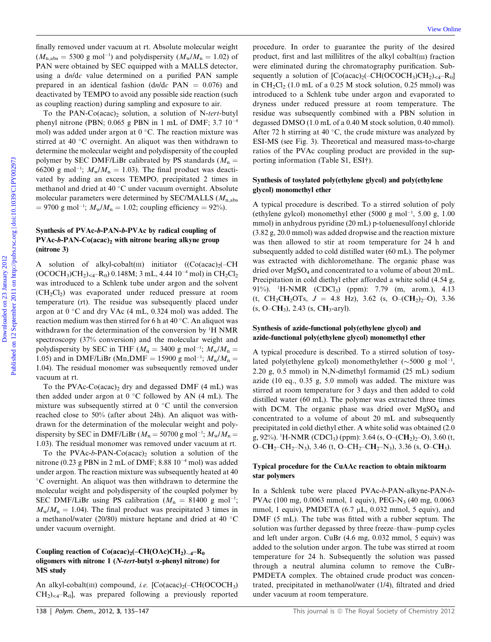finally removed under vacuum at rt. Absolute molecular weight  $(M_{\rm n,abs} = 5300 \text{ g mol}^{-1})$  and polydispersity  $(M_{\rm w}/M_{\rm n} = 1.02)$  of PAN were obtained by SEC equipped with a MALLS detector, using a dn/dc value determined on a purified PAN sample prepared in an identical fashion (dn/dc PAN  $= 0.076$ ) and deactivated by TEMPO to avoid any possible side reaction (such as coupling reaction) during sampling and exposure to air.

To the PAN-Co(acac), solution, a solution of N-tert-butyl phenyl nitrone (PBN; 0.065 g PBN in 1 mL of DMF; 3.7 10-4 mol) was added under argon at  $0^{\circ}$ C. The reaction mixture was stirred at 40  $\degree$ C overnight. An aliquot was then withdrawn to determine the molecular weight and polydispersity of the coupled polymer by SEC DMF/LiBr calibrated by PS standards ( $M_n =$ 66200 g mol<sup>-1</sup>;  $M_w/M_n = 1.03$ ). The final product was deactivated by adding an excess TEMPO, precipitated 2 times in methanol and dried at 40 °C under vacuum overnight. Absolute molecular parameters were determined by SEC/MALLS ( $M_{n,abs}$ )  $= 9700 \text{ g mol}^{-1}$ ;  $M_w/M_n = 1.02$ ; coupling efficiency  $= 92\%$ ).

### Synthesis of PVAc-b-PAN-b-PVAc by radical coupling of  $PVAc-b-PAN-Co(acac)<sub>2</sub>$  with nitrone bearing alkyne group (nitrone 3)

A solution of alkyl-cobalt(III) initiator  $(Co (acac)<sub>2</sub>(-CH))$ (OCOCH<sub>3</sub>)CH<sub>2</sub>)<sub><4</sub>-R<sub>0</sub>) 0.148M; 3 mL, 4.44 10<sup>-4</sup> mol) in CH<sub>2</sub>Cl<sub>2</sub> was introduced to a Schlenk tube under argon and the solvent  $(CH_2Cl_2)$  was evaporated under reduced pressure at room temperature (rt). The residue was subsequently placed under argon at  $0^{\circ}$ C and dry VAc (4 mL, 0.324 mol) was added. The reaction medium was then stirred for 6 h at 40 °C. An aliquot was withdrawn for the determination of the conversion by <sup>1</sup>H NMR spectroscopy (37% conversion) and the molecular weight and polydispersity by SEC in THF ( $M_n = 3400$  g mol<sup>-1</sup>;  $M_w/M_n =$ 1.05) and in DMF/LiBr (Mn,DMF = 15900 g mol<sup>-1</sup>;  $M_w/M_n =$ 1.04). The residual monomer was subsequently removed under vacuum at rt.

To the PVAc-Co(acac), dry and degassed DMF  $(4 \text{ mL})$  was then added under argon at  $0 °C$  followed by AN (4 mL). The mixture was subsequently stirred at  $0^{\circ}$ C until the conversion reached close to 50% (after about 24h). An aliquot was withdrawn for the determination of the molecular weight and polydispersity by SEC in DMF/LiBr ( $M<sub>n</sub> = 50700$  g mol<sup>-1</sup>;  $M<sub>w</sub>/M<sub>n</sub> =$ 1.03). The residual monomer was removed under vacuum at rt.

To the PVAc-b-PAN-Co(acac)<sub>2</sub> solution a solution of the nitrone (0.23 g PBN in 2 mL of DMF; 8.88  $10^{-4}$  mol) was added under argon. The reaction mixture was subsequently heated at 40 C overnight. An aliquot was then withdrawn to determine the molecular weight and polydispersity of the coupled polymer by SEC DMF/LiBr using PS calibration ( $M_n = 81400 \text{ g mol}^{-1}$ ;  $M_{\rm w}/M_{\rm n} = 1.04$ ). The final product was precipitated 3 times in a methanol/water (20/80) mixture heptane and dried at 40  $^{\circ}$ C under vacuum overnight.

# Coupling reaction of  $Co(acac)<sub>2</sub>(-CH(OAc)CH<sub>2</sub>)<sub>\sim 4</sub>-R<sub>0</sub>$ oligomers with nitrone 1 (N-tert-butyl  $\alpha$ -phenyl nitrone) for MS study

An alkyl-cobalt(III) compound, i.e.  $[Co(acac)<sub>2</sub>(-CH(OCOCH<sub>3</sub>))]$  $CH<sub>2</sub>$ <sub>2</sub> $-H<sub>0</sub>$ , was prepared following a previously reported

procedure. In order to guarantee the purity of the desired product, first and last millilitres of the alkyl cobalt(III) fraction were eliminated during the chromatography purification. Subsequently a solution of  $[Co(acac)_2(-CH(OCOCH_3)CH_2)_{<4}-R_0]$ in  $CH_2Cl_2$  (1.0 mL of a 0.25 M stock solution, 0.25 mmol) was introduced to a Schlenk tube under argon and evaporated to dryness under reduced pressure at room temperature. The residue was subsequently combined with a PBN solution in degassed DMSO (1.0 mL of a 0.40 M stock solution, 0.40 mmol). After 72 h stirring at 40  $\degree$ C, the crude mixture was analyzed by ESI-MS (see Fig. 3). Theoretical and measured mass-to-charge ratios of the PVAc coupling product are provided in the supporting information (Table S1, ESI†). Download under vacuum at rt. Absolut consider weight procedure. In order to guarantice the pairing of  $M_{\rm c}$ , a 5500 pairing (N a, a 500 pairing of the simulation of the simulation of the simulation of the simulation of

#### Synthesis of tosylated poly(ethylene glycol) and poly(ethylene glycol) monomethyl ether

A typical procedure is described. To a stirred solution of poly (ethylene gylcol) monomethyl ether  $(5000 \text{ g mol}^{-1}, 5.00 \text{ g}, 1.00$ mmol) in anhydrous pyridine (20 mL) p-toluenesulfonyl chloride (3.82 g, 20.0 mmol) was added dropwise and the reaction mixture was then allowed to stir at room temperature for 24 h and subsequently added to cold distilled water (60 mL). The polymer was extracted with dichloromethane. The organic phase was dried over MgSO<sub>4</sub> and concentrated to a volume of about 20 mL. Precipitation in cold diethyl ether afforded a white solid (4.54 g, 91%). <sup>1</sup> H-NMR (CDCl3) (ppm): 7.79 (m, arom.), 4.13 (t, CH<sub>2</sub>CH<sub>2</sub>OTs,  $J = 4.8$  Hz), 3.62 (s, O–(CH<sub>2</sub>)<sub>2</sub>–O), 3.36  $(s, O=CH_3)$ , 2.43  $(s, CH_3-aryl)$ .

#### Synthesis of azide-functional poly(ethylene glycol) and azide-functional poly(ethylene glycol) monomethyl ether

A typical procedure is described. To a stirred solution of tosylated poly(ethylene gylcol) monomethylether  $(\sim 5000 \text{ g mol}^{-1})$ 2.20 g, 0.5 mmol) in N,N-dimethyl formamid (25 mL) sodium azide (10 eq., 0.35 g, 5.0 mmol) was added. The mixture was stirred at room temperature for 3 days and then added to cold distilled water (60 mL). The polymer was extracted three times with DCM. The organic phase was dried over  $MgSO<sub>4</sub>$  and concentrated to a volume of about 20 mL and subsequently precipitated in cold diethyl ether. A white solid was obtained (2.0 g, 92%). <sup>1</sup>H-NMR (CDCl<sub>3</sub>) (ppm): 3.64 (s, O–(CH<sub>2</sub>)<sub>2</sub>–O), 3.60 (t, O–CH<sub>2</sub>–CH<sub>2</sub>–N<sub>3</sub>), 3.46 (t, O–CH<sub>2</sub>–CH<sub>2</sub>–N<sub>3</sub>), 3.36 (s, O–CH<sub>3</sub>).

#### Typical procedure for the CuAAc reaction to obtain miktoarm star polymers

In a Schlenk tube were placed PVAc-b-PAN-alkyne-PAN-b-PVAc (100 mg, 0.0063 mmol, 1 equiv), PEG-N<sub>3</sub> (40 mg, 0.0063) mmol, 1 equiv), PMDETA (6.7 µL, 0.032 mmol, 5 equiv), and DMF (5 mL). The tube was fitted with a rubber septum. The solution was further degassed by three freeze–thaw–pump cycles and left under argon. CuBr (4.6 mg, 0.032 mmol, 5 equiv) was added to the solution under argon. The tube was stirred at room temperature for 24 h. Subsequently the solution was passed through a neutral alumina column to remove the CuBr-PMDETA complex. The obtained crude product was concentrated, precipitated in methanol/water (1/4), filtrated and dried under vacuum at room temperature.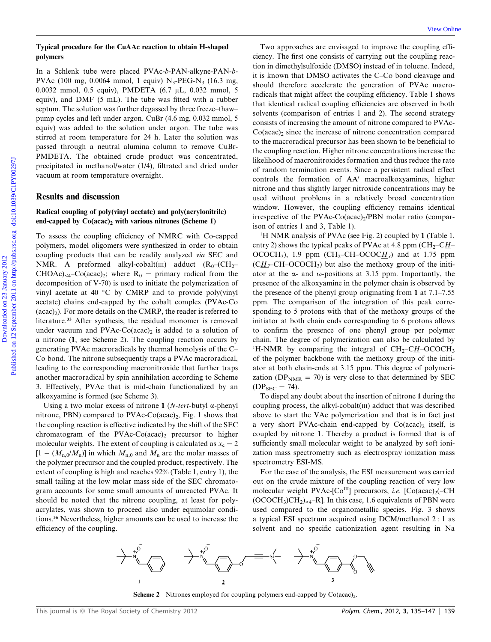#### Typical procedure for the CuAAc reaction to obtain H-shaped polymers

In a Schlenk tube were placed PVAc-b-PAN-alkyne-PAN-b-PVAc (100 mg, 0.0064 mmol, 1 equiv)  $N_3$ -PEG-N<sub>3</sub> (16.3 mg, 0.0032 mmol, 0.5 equiv), PMDETA (6.7 mL, 0.032 mmol, 5 equiv), and DMF (5 mL). The tube was fitted with a rubber septum. The solution was further degassed by three freeze–thaw– pump cycles and left under argon. CuBr (4.6 mg, 0.032 mmol, 5 equiv) was added to the solution under argon. The tube was stirred at room temperature for 24 h. Later the solution was passed through a neutral alumina column to remove CuBr-PMDETA. The obtained crude product was concentrated, precipitated in methanol/water (1/4), filtrated and dried under vacuum at room temperature overnight.

#### Results and discussion

#### Radical coupling of poly(vinyl acetate) and poly(acrylonitrile) end-capped by  $Co(acac)_2$  with various nitrones (Scheme 1)

To assess the coupling efficiency of NMRC with Co-capped polymers, model oligomers were synthesized in order to obtain coupling products that can be readily analyzed via SEC and NMR. A preformed alkyl-cobalt(III) adduct  $(R_0-(CH_2 CHOAc$ <sub> $\leq 4$ </sub> $Co(acac)_{2}$ ; where  $R_0 =$  primary radical from the decomposition of V-70) is used to initiate the polymerization of vinyl acetate at 40  $\degree$ C by CMRP and to provide poly(vinyl acetate) chains end-capped by the cobalt complex (PVAc-Co  $(acac)$ ). For more details on the CMRP, the reader is referred to literature.<sup>33</sup> After synthesis, the residual monomer is removed under vacuum and PVAc-Co(acac)<sub>2</sub> is added to a solution of a nitrone (1, see Scheme 2). The coupling reaction occurs by generating PVAc macroradicals by thermal homolysis of the C– Co bond. The nitrone subsequently traps a PVAc macroradical, leading to the corresponding macronitroxide that further traps another macroradical by spin annihilation according to Scheme 3. Effectively, PVAc that is mid-chain functionalized by an alkoxyamine is formed (see Scheme 3).

Using a two molar excess of nitrone 1 (*N-tert-butyl*  $\alpha$ -phenyl nitrone, PBN) compared to PVAc-Co(acac)<sub>2</sub>, Fig. 1 shows that the coupling reaction is effective indicated by the shift of the SEC chromatogram of the PVAc-Co(acac)<sub>2</sub> precursor to higher molecular weights. The extent of coupling is calculated as  $x_c = 2$  $[1 - (M_{n,0}/M_n)]$  in which  $M_{n,0}$  and  $M_n$  are the molar masses of the polymer precursor and the coupled product, respectively. The extent of coupling is high and reaches 92% (Table 1, entry 1), the small tailing at the low molar mass side of the SEC chromatogram accounts for some small amounts of unreacted PVAc. It should be noted that the nitrone coupling, at least for polyacrylates, was shown to proceed also under equimolar conditions.<sup>36</sup> Nevertheless, higher amounts can be used to increase the efficiency of the coupling.

Two approaches are envisaged to improve the coupling efficiency. The first one consists of carrying out the coupling reaction in dimethylsulfoxide (DMSO) instead of in toluene. Indeed, it is known that DMSO activates the C–Co bond cleavage and should therefore accelerate the generation of PVAc macroradicals that might affect the coupling efficiency. Table 1 shows that identical radical coupling efficiencies are observed in both solvents (comparison of entries 1 and 2). The second strategy consists of increasing the amount of nitrone compared to PVAc- $Co(acac)_2$  since the increase of nitrone concentration compared to the macroradical precursor has been shown to be beneficial to the coupling reaction. Higher nitrone concentrations increase the likelihood of macronitroxides formation and thus reduce the rate of random termination events. Since a persistent radical effect controls the formation of AA<sup>'</sup> macroalkoxyamines, higher nitrone and thus slightly larger nitroxide concentrations may be used without problems in a relatively broad concentration window. However, the coupling efficiency remains identical irrespective of the PVAc-Co(acac) $\alpha$ /PBN molar ratio (comparison of entries 1 and 3, Table 1). Download the Catalog of Active Cole (14) September 2011 on the Catalog Cole (15) and the Catalog Cole (15) and the Catalog Cole (15) and the Catalog Cole (16) and the Catalog Cole (16) and the Catalog Cole (16) and the Sc

<sup>1</sup>H NMR analysis of PVAc (see Fig. 2) coupled by 1 (Table 1, entry 2) shows the typical peaks of PVAc at 4.8 ppm ( $CH_2$ – $CH$ – OCOCH<sub>3</sub>), 1.9 ppm (CH<sub>2</sub>–CH–OCOC $H_3$ ) and at 1.75 ppm  $(C_{H_2}$ –CH–OCOCH<sub>3</sub>) but also the methoxy group of the initiator at the  $\alpha$ - and  $\omega$ -positions at 3.15 ppm. Importantly, the presence of the alkoxyamine in the polymer chain is observed by the presence of the phenyl group originating from 1 at 7.1–7.55 ppm. The comparison of the integration of this peak corresponding to 5 protons with that of the methoxy groups of the initiator at both chain ends corresponding to 6 protons allows to confirm the presence of one phenyl group per polymer chain. The degree of polymerization can also be calculated by <sup>1</sup>H-NMR by comparing the integral of  $CH_2$ -CH-OCOCH<sub>3</sub> of the polymer backbone with the methoxy group of the initiator at both chain-ends at 3.15 ppm. This degree of polymerization ( $DP_{NMR} = 70$ ) is very close to that determined by SEC  $(DP<sub>SEC</sub> = 74).$ 

To dispel any doubt about the insertion of nitrone 1 during the coupling process, the alkyl-cobalt(III) adduct that was described above to start the VAc polymerization and that is in fact just a very short PVAc-chain end-capped by  $Co(\text{acac})_2$  itself, is coupled by nitrone 1. Thereby a product is formed that is of sufficiently small molecular weight to be analyzed by soft ionization mass spectrometry such as electrospray ionization mass spectrometry ESI-MS.

For the ease of the analysis, the ESI measurement was carried out on the crude mixture of the coupling reaction of very low molecular weight PVAc-[Co<sup>III</sup>] precursors, i.e. [Co(acac)<sub>2</sub>(-CH  $(OCOCH<sub>3</sub>)CH<sub>2</sub>)<sub>4</sub>$ -R]. In this case, 1.6 equivalents of PBN were used compared to the organometallic species. Fig. 3 shows a typical ESI spectrum acquired using DCM/methanol 2 : 1 as solvent and no specific cationization agent resulting in Na



**Scheme 2** Nitrones employed for coupling polymers end-capped by  $Co(acac)_{2}$ .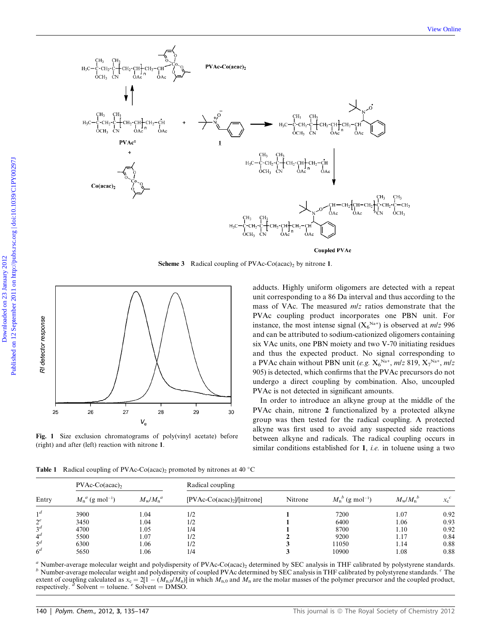

**Scheme 3** Radical coupling of PVAc-Co(acac)<sub>2</sub> by nitrone 1.



Fig. 1 Size exclusion chromatograms of poly(vinyl acetate) before (right) and after (left) reaction with nitrone 1.

adducts. Highly uniform oligomers are detected with a repeat unit corresponding to a 86 Da interval and thus according to the mass of VAc. The measured  $m/z$  ratios demonstrate that the PVAc coupling product incorporates one PBN unit. For instance, the most intense signal  $(X_6^{Na+})$  is observed at  $m/z$  996 and can be attributed to sodium-cationized oligomers containing six VAc units, one PBN moiety and two V-70 initiating residues and thus the expected product. No signal corresponding to a PVAc chain without PBN unit (e.g.  $X_6^{Na+}$ , m/z 819,  $X_7^{Na+}$ , m/z 905) is detected, which confirms that the PVAc precursors do not undergo a direct coupling by combination. Also, uncoupled PVAc is not detected in significant amounts.

In order to introduce an alkyne group at the middle of the PVAc chain, nitrone 2 functionalized by a protected alkyne group was then tested for the radical coupling. A protected alkyne was first used to avoid any suspected side reactions between alkyne and radicals. The radical coupling occurs in similar conditions established for 1, *i.e.* in toluene using a two

**Table 1** Radical coupling of PVAc-Co(acac)<sub>2</sub> promoted by nitrones at 40 °C

| Entry          | $PVAc-Co (acac)$ ,             |                             | Radical coupling             |         |                                    |                               |         |  |
|----------------|--------------------------------|-----------------------------|------------------------------|---------|------------------------------------|-------------------------------|---------|--|
|                | $M_n^a$ (g mol <sup>-1</sup> ) | $M_{\rm w}/M_{\rm n}^{\;a}$ | $[PVAc-Co(acac)2]/[nitrone]$ | Nitrone | $M_{n}^{b}$ (g mol <sup>-1</sup> ) | $M_{\rm w}/M_{\rm n}^{\ \ b}$ | $x_c^c$ |  |
| 1 <sup>d</sup> | 3900                           | l.04                        | 1/2                          |         | 7200                               | 1.07                          | 0.92    |  |
| $2^e$          | 3450                           | 1.04                        | 1/2                          |         | 6400                               | 1.06                          | 0.93    |  |
| 3 <sup>d</sup> | 4700                           | 1.05                        | 1/4                          |         | 8700                               | 1.10                          | 0.92    |  |
| $4^d$          | 5500                           | 1.07                        | 1/2                          |         | 9200                               | 1.17                          | 0.84    |  |
| $\varsigma$ d  | 6300                           | 1.06                        | 1/2                          |         | 11050                              | 1.14                          | 0.88    |  |
| 6 <sup>d</sup> | 5650                           | l.06                        | 1/4                          |         | 10900                              | 0.08                          | 0.88    |  |

 $\alpha$  Number-average molecular weight and polydispersity of PVAc-Co(acac)<sub>2</sub> determined by SEC analysis in THF calibrated by polystyrene standards.<br>
<sup>*b*</sup> Number-average molecular weight and polydispersity of coupled PVAc extent of coupling calculated as  $x_c = 2[1 - (M_{n,0}/M_n)]$  in which  $M_{n,0}$  and  $M_n$  are the molar masses of the polymer precursor and the coupled product, respectively.  $d$  Solvent = toluene.  $e$  Solvent = DMSO.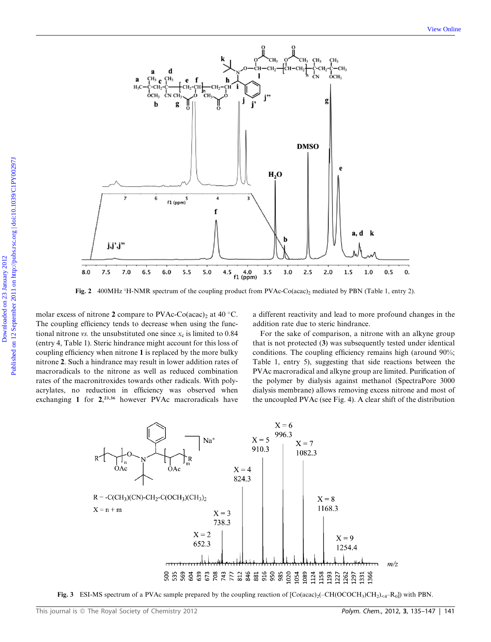

Fig. 2 400MHz <sup>1</sup>H-NMR spectrum of the coupling product from PVAc-Co(acac)<sub>2</sub> mediated by PBN (Table 1, entry 2).

molar excess of nitrone 2 compare to PVAc-Co(acac)<sub>2</sub> at 40 °C. The coupling efficiency tends to decrease when using the functional nitrone vs. the unsubstituted one since  $x_c$  is limited to 0.84 (entry 4, Table 1). Steric hindrance might account for this loss of coupling efficiency when nitrone 1 is replaced by the more bulky nitrone 2. Such a hindrance may result in lower addition rates of macroradicals to the nitrone as well as reduced combination rates of the macronitroxides towards other radicals. With polyacrylates, no reduction in efficiency was observed when exchanging 1 for 2,<sup>23,36</sup> however PVAc macroradicals have

a different reactivity and lead to more profound changes in the addition rate due to steric hindrance.

For the sake of comparison, a nitrone with an alkyne group that is not protected (3) was subsequently tested under identical conditions. The coupling efficiency remains high (around 90%; Table 1, entry 5), suggesting that side reactions between the PVAc macroradical and alkyne group are limited. Purification of the polymer by dialysis against methanol (SpectraPore 3000 dialysis membrane) allows removing excess nitrone and most of the uncoupled PVAc (see Fig. 4). A clear shift of the distribution



Fig. 3 ESI-MS spectrum of a PVAc sample prepared by the coupling reaction of  $[Co(acac)<sub>2</sub>(-CH(OCOCH<sub>3</sub>)CH<sub>2</sub>)<sub>*A*</sub>-R<sub>0</sub>]$ ) with PBN.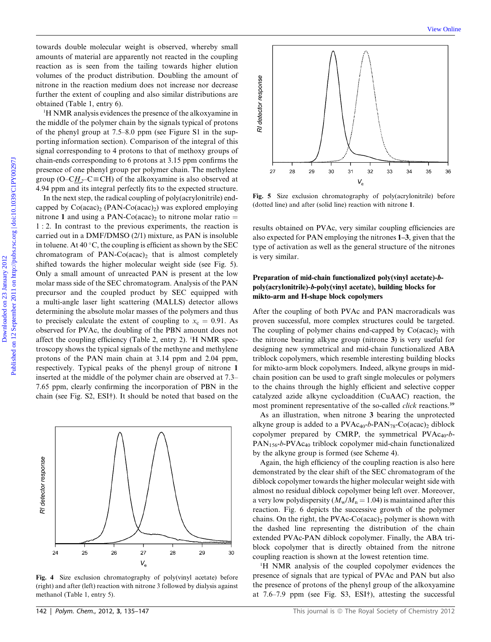towards double molecular weight is observed, whereby small amounts of material are apparently not reacted in the coupling reaction as is seen from the tailing towards higher elution volumes of the product distribution. Doubling the amount of nitrone in the reaction medium does not increase nor decrease further the extent of coupling and also similar distributions are obtained (Table 1, entry 6).

<sup>1</sup>H NMR analysis evidences the presence of the alkoxyamine in the middle of the polymer chain by the signals typical of protons of the phenyl group at 7.5–8.0 ppm (see Figure S1 in the supporting information section). Comparison of the integral of this signal corresponding to 4 protons to that of methoxy groups of chain-ends corresponding to 6 protons at 3.15 ppm confirms the presence of one phenyl group per polymer chain. The methylene group (O–CH<sub>2</sub>–C $\equiv$ CH) of the alkoxyamine is also observed at 4.94 ppm and its integral perfectly fits to the expected structure.

In the next step, the radical coupling of poly(acrylonitrile) endcapped by  $Co(acac)_2$  (PAN-Co(acac)<sub>2</sub>) was explored employing nitrone 1 and using a PAN-Co(acac), to nitrone molar ratio  $=$ 1 : 2. In contrast to the previous experiments, the reaction is carried out in a DMF/DMSO (2/1) mixture, as PAN is insoluble in toluene. At 40 °C, the coupling is efficient as shown by the SEC chromatogram of  $PAN-Co (acac)_2$  that is almost completely shifted towards the higher molecular weight side (see Fig. 5). Only a small amount of unreacted PAN is present at the low molar mass side of the SEC chromatogram. Analysis of the PAN precursor and the coupled product by SEC equipped with a multi-angle laser light scattering (MALLS) detector allows determining the absolute molar masses of the polymers and thus to precisely calculate the extent of coupling to  $x_c = 0.91$ . As observed for PVAc, the doubling of the PBN amount does not affect the coupling efficiency (Table 2, entry 2). <sup>1</sup>H NMR spectroscopy shows the typical signals of the methyne and methylene protons of the PAN main chain at 3.14 ppm and 2.04 ppm, respectively. Typical peaks of the phenyl group of nitrone 1 inserted at the middle of the polymer chain are observed at 7.3– 7.65 ppm, clearly confirming the incorporation of PBN in the chain (see Fig. S2, ESI†). It should be noted that based on the Downloaded on 23 September 1988 and 24 September 2012 and 23 January 2012 and 24 September 2012 and 24 September 2012 and 23 September 2012 and 23 September 2012 and 24 September 2012 and 2013 and 2013 and 2013 and 2013 a



Fig. 4 Size exclusion chromatography of poly(vinyl acetate) before (right) and after (left) reaction with nitrone 3 followed by dialysis against methanol (Table 1, entry 5).



Fig. 5 Size exclusion chromatography of poly(acrylonitrile) before (dotted line) and after (solid line) reaction with nitrone 1.

results obtained on PVAc, very similar coupling efficiencies are also expected for PAN employing the nitrones 1–3, given that the type of activation as well as the general structure of the nitrones is very similar.

# Preparation of mid-chain functionalized poly(vinyl acetate)-bpoly(acrylonitrile)-b-poly(vinyl acetate), building blocks for mikto-arm and H-shape block copolymers

After the coupling of both PVAc and PAN macroradicals was proven successful, more complex structures could be targeted. The coupling of polymer chains end-capped by  $Co(\text{acac})_2$  with the nitrone bearing alkyne group (nitrone 3) is very useful for designing new symmetrical and mid-chain functionalized ABA triblock copolymers, which resemble interesting building blocks for mikto-arm block copolymers. Indeed, alkyne groups in midchain position can be used to graft single molecules or polymers to the chains through the highly efficient and selective copper catalyzed azide alkyne cycloaddition (CuAAC) reaction, the most prominent representative of the so-called *click* reactions.<sup>39</sup>

As an illustration, when nitrone 3 bearing the unprotected alkyne group is added to a  $\text{PVAc}_{40}$ -b-PAN<sub>78</sub>-Co(acac)<sub>2</sub> diblock copolymer prepared by CMRP, the symmetrical  $PVAc_{40}$ -b-PAN<sub>156</sub>-b-PVAc<sub>40</sub> triblock copolymer mid-chain functionalized by the alkyne group is formed (see Scheme 4).

Again, the high efficiency of the coupling reaction is also here demonstrated by the clear shift of the SEC chromatogram of the diblock copolymer towards the higher molecular weight side with almost no residual diblock copolymer being left over. Moreover, a very low polydispersity  $(M_w/M_n = 1.04)$  is maintained after this reaction. Fig. 6 depicts the successive growth of the polymer chains. On the right, the PVAc-Co(acac)<sub>2</sub> polymer is shown with the dashed line representing the distribution of the chain extended PVAc-PAN diblock copolymer. Finally, the ABA triblock copolymer that is directly obtained from the nitrone coupling reaction is shown at the lowest retention time.

1 H NMR analysis of the coupled copolymer evidences the presence of signals that are typical of PVAc and PAN but also the presence of protons of the phenyl group of the alkoxyamine at 7.6–7.9 ppm (see Fig. S3, ESI†), attesting the successful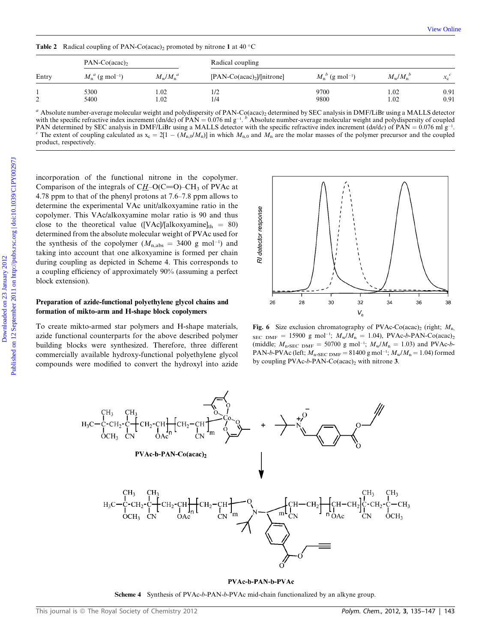| Entry | $PAN-Co (acac)$                |                             | Radical coupling              |                                |                             |                                |  |
|-------|--------------------------------|-----------------------------|-------------------------------|--------------------------------|-----------------------------|--------------------------------|--|
|       | $M_n^a$ (g mol <sup>-1</sup> ) | $M_{\rm w}/M_{\rm n}^{\;a}$ | $[PAN-Co(acac)2] / [nitrone]$ | $M_n^b$ (g mol <sup>-1</sup> ) | $M_{\rm w}/M_{\rm n}^{\ b}$ | $\sim c$<br>$\lambda_{\alpha}$ |  |
| ∠     | 5300<br>5400                   | 0.02<br>1.02                | 1/2<br>1/4                    | 9700<br>9800                   | 1.02<br>1.02                | 0.91<br>0.91                   |  |

**Table 2** Radical coupling of PAN-Co(acac), promoted by nitrone 1 at 40  $^{\circ}$ C

<sup>a</sup> Absolute number-average molecular weight and polydispersity of PAN-Co(acac)<sub>2</sub> determined by SEC analysis in DMF/LiBr using a MALLS detector with the specific refractive index increment  $(dn/dc)$  of  $PAN = 0.076$  ml g<sup>-1</sup>. <sup>b</sup> Absolute number-average molecular weight and polydispersity of coupled PAN determined by SEC analysis in DMF/LiBr using a MALLS detector with the specific refractive index increment  $(dn/dc)$  of PAN = 0.076 ml g<sup>-1</sup> PAN determined by SEC analysis in DMF/LiBr using a MALLS detector with the specific refractive index increment  $(dn/dc)$  of PAN = 0.076 ml g<sup>-1</sup>.<br><sup>c</sup> The extent of coupling calculated as  $x_c = 2[1 - (M_{n,0}/M_n)]$  in which  $M_{n,0$ product, respectively.

incorporation of the functional nitrone in the copolymer. Comparison of the integrals of  $CH-O(C=O)-CH_3$  of PVAc at 4.78 ppm to that of the phenyl protons at 7.6–7.8 ppm allows to determine the experimental VAc unit/alkoxyamine ratio in the copolymer. This VAc/alkoxyamine molar ratio is 90 and thus close to the theoretical value ([VAc]/[alkoxyamine] $_{th} = 80$ ) determined from the absolute molecular weight of PVAc used for the synthesis of the copolymer  $(M_{n,abs} = 3400 \text{ g mol}^{-1})$  and taking into account that one alkoxyamine is formed per chain during coupling as depicted in Scheme 4. This corresponds to a coupling efficiency of approximately 90% (assuming a perfect block extension).

#### Preparation of azide-functional polyethylene glycol chains and formation of mikto-arm and H-shape block copolymers

To create mikto-armed star polymers and H-shape materials, azide functional counterparts for the above described polymer building blocks were synthesized. Therefore, three different commercially available hydroxy-functional polyethylene glycol compounds were modified to convert the hydroxyl into azide



Fig. 6 Size exclusion chromatography of PVAc-Co(acac)<sub>2</sub> (right;  $M_{n}$ ,  $_{\text{SEC} DMF}$  = 15900 g mol<sup>-1</sup>;  $M_{\text{w}}/M_{\text{n}}$  = 1.04), PVAc-b-PAN-Co(acac)<sub>2</sub> (middle;  $M_{\text{n}SEC\ DMF} = 50700 \text{ g mol}^{-1}$ ;  $M_{\text{w}}/M_{\text{n}} = 1.03$ ) and PVAc-b-PAN-b-PVAc (left;  $M_{\text{n}},{_{\text{SEC DMF}}} = 81400 \text{ g mol}^{-1}; M_{\text{w}}/M_{\text{n}} = 1.04$ ) formed by coupling PVAc-b-PAN-Co(acac)<sub>2</sub> with nitrone 3.



#### PVAc-b-PAN-b-PVAc

Scheme 4 Synthesis of PVAc-b-PAN-b-PVAc mid-chain functionalized by an alkyne group.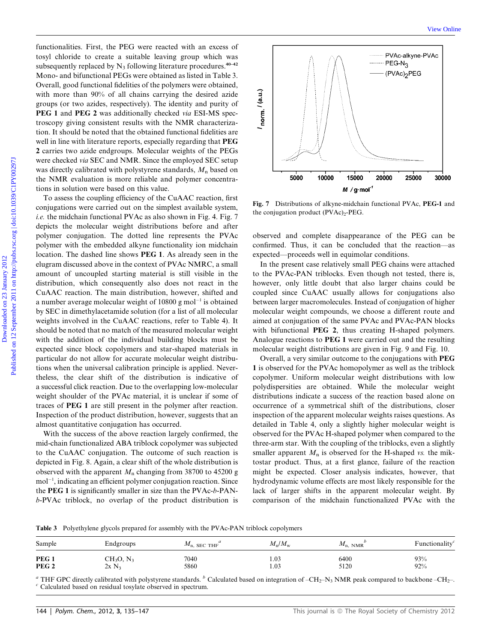functionalities. First, the PEG were reacted with an excess of tosyl chloride to create a suitable leaving group which was subsequently replaced by  $N_3$  following literature procedures.<sup>40–42</sup> Mono- and bifunctional PEGs were obtained as listed in Table 3. Overall, good functional fidelities of the polymers were obtained, with more than 90% of all chains carrying the desired azide groups (or two azides, respectively). The identity and purity of PEG 1 and PEG 2 was additionally checked via ESI-MS spectroscopy giving consistent results with the NMR characterization. It should be noted that the obtained functional fidelities are well in line with literature reports, especially regarding that PEG 2 carries two azide endgroups. Molecular weights of the PEGs were checked via SEC and NMR. Since the employed SEC setup was directly calibrated with polystyrene standards,  $M_n$  based on the NMR evaluation is more reliable and polymer concentrations in solution were based on this value.

To assess the coupling efficiency of the CuAAC reaction, first conjugations were carried out on the simplest available system, *i.e.* the midchain functional PVAc as also shown in Fig. 4. Fig. 7 depicts the molecular weight distributions before and after polymer conjugation. The dotted line represents the PVAc polymer with the embedded alkyne functionality ion midchain location. The dashed line shows PEG 1. As already seen in the elugram discussed above in the context of PVAc NMRC, a small amount of uncoupled starting material is still visible in the distribution, which consequently also does not react in the CuAAC reaction. The main distribution, however, shifted and a number average molecular weight of 10800 g mol<sup>-1</sup> is obtained by SEC in dimethylacetamide solution (for a list of all molecular weights involved in the CuAAC reactions, refer to Table 4). It should be noted that no match of the measured molecular weight with the addition of the individual building blocks must be expected since block copolymers and star-shaped materials in particular do not allow for accurate molecular weight distributions when the universal calibration principle is applied. Nevertheless, the clear shift of the distribution is indicative of a successful click reaction. Due to the overlapping low-molecular weight shoulder of the PVAc material, it is unclear if some of traces of PEG 1 are still present in the polymer after reaction. Inspection of the product distribution, however, suggests that an almost quantitative conjugation has occurred. Consideration First, the FRO wave reacted with an excess of<br>
subsequently replead by N<sub>3</sub> Malowing linearure procedures.<sup>34</sup><br>
Moreover the interaction PVCs were relation and the substitute of the polynes were obtained.<br>
O

With the success of the above reaction largely confirmed, the mid-chain functionalized ABA triblock copolymer was subjected to the CuAAC conjugation. The outcome of such reaction is depicted in Fig. 8. Again, a clear shift of the whole distribution is observed with the apparent  $M_n$  changing from 38700 to 45200 g mol-1 , indicating an efficient polymer conjugation reaction. Since the PEG 1 is significantly smaller in size than the PVAc-b-PANb-PVAc triblock, no overlap of the product distribution is



Fig. 7 Distributions of alkyne-midchain functional PVAc, PEG-1 and the conjugation product  $(PVAc)<sub>2</sub>-PEG$ .

observed and complete disappearance of the PEG can be confirmed. Thus, it can be concluded that the reaction—as expected—proceeds well in equimolar conditions.

In the present case relatively small PEG chains were attached to the PVAc-PAN triblocks. Even though not tested, there is, however, only little doubt that also larger chains could be coupled since CuAAC usually allows for conjugations also between larger macromolecules. Instead of conjugation of higher molecular weight compounds, we choose a different route and aimed at conjugation of the same PVAc and PVAc-PAN blocks with bifunctional **PEG 2**, thus creating H-shaped polymers. Analogue reactions to PEG 1 were carried out and the resulting molecular weight distributions are given in Fig. 9 and Fig. 10.

Overall, a very similar outcome to the conjugations with PEG 1 is observed for the PVAc homopolymer as well as the triblock copolymer. Uniform molecular weight distributions with low polydispersities are obtained. While the molecular weight distributions indicate a success of the reaction based alone on occurrence of a symmetrical shift of the distributions, closer inspection of the apparent molecular weights raises questions. As detailed in Table 4, only a slightly higher molecular weight is observed for the PVAc H-shaped polymer when compared to the three-arm star. With the coupling of the triblocks, even a slightly smaller apparent  $M_n$  is observed for the H-shaped vs. the miktostar product. Thus, at a first glance, failure of the reaction might be expected. Closer analysis indicates, however, that hydrodynamic volume effects are most likely responsible for the lack of larger shifts in the apparent molecular weight. By comparison of the midchain functionalized PVAc with the

Table 3 Polyethylene glycols prepared for assembly with the PVAc-PAN triblock copolymers

| Sample           | Endgroups    | $M_{\text{n}}$ , SEC THF | $M_{\rm n}/M_{\rm w}$ | $M_{\rm n, NMR}$ | Functionality |
|------------------|--------------|--------------------------|-----------------------|------------------|---------------|
| PEG <sub>1</sub> | $CH_3O, N_3$ | 7040                     | 1.03                  | 6400             | 93%           |
| PEG <sub>2</sub> | $2x N_2$     | 5860                     | 1.03                  | 5120             | 92%           |

<sup>a</sup> THF GPC directly calibrated with polystyrene standards. <sup>b</sup> Calculated based on integration of –CH<sub>2</sub>–N<sub>3</sub> NMR peak compared to backbone –CH<sub>2</sub>–. <sup>c</sup> Calculated based on residual tosylate observed in spectrum.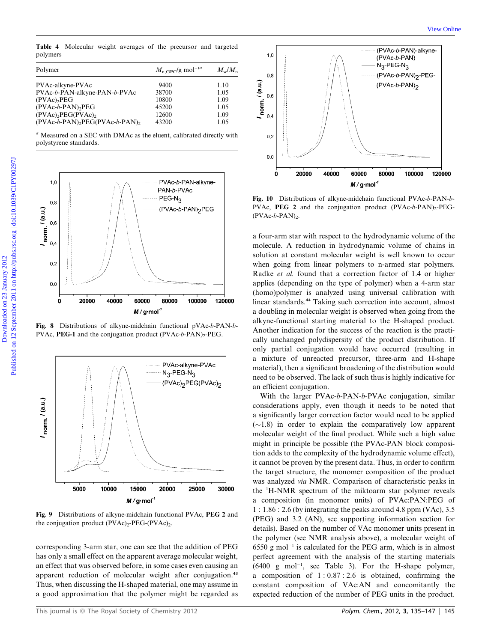Table 4 Molecular weight averages of the precursor and targeted polymers

| Polymer                              | $M_{\rm n. GPC}$ /g mol <sup>-1<i>a</i></sup> | $M_{\rm w}/M_{\rm n}$ |  |
|--------------------------------------|-----------------------------------------------|-----------------------|--|
| PVAc-alkyne-PVAc                     | 9400                                          | 1.10                  |  |
| PVAc-b-PAN-alkyne-PAN-b-PVAc         | 38700                                         | 1.05                  |  |
| $(PVAc)$ <sub>2</sub> $PEG$          | 10800                                         | 1.09                  |  |
| $(PVAc-b-PAN)$ <sub>2</sub> $PEG$    | 45200                                         | 1.05                  |  |
| $(PVAc)2PEG(PVAc)2$                  | 12600                                         | 1.09                  |  |
| $(PVAc-b-PAN)$ , $PEG(PVAc-b-PAN)$ , | 43200                                         | 1.05                  |  |

 $a$  Measured on a SEC with DMAc as the eluent, calibrated directly with polystyrene standards.



Fig. 8 Distributions of alkyne-midchain functional pVAc-b-PAN-b-PVAc, PEG-1 and the conjugation product  $(PVAc-b-PAN)_{2}$ -PEG.



Fig. 9 Distributions of alkyne-midchain functional PVAc, PEG 2 and the conjugation product  $(PVAc)<sub>2</sub>-PEG-(PVAc)<sub>2</sub>$ .

corresponding 3-arm star, one can see that the addition of PEG has only a small effect on the apparent average molecular weight, an effect that was observed before, in some cases even causing an apparent reduction of molecular weight after conjugation.<sup>43</sup> Thus, when discussing the H-shaped material, one may assume in a good approximation that the polymer might be regarded as



Fig. 10 Distributions of alkyne-midchain functional PVAc-b-PAN-b-PVAc, PEG 2 and the conjugation product  $(PVAc-b-PAN)_{2}PEG (PVAc-b-PAN)_2$ .

a four-arm star with respect to the hydrodynamic volume of the molecule. A reduction in hydrodynamic volume of chains in solution at constant molecular weight is well known to occur when going from linear polymers to n-armed star polymers. Radke et al. found that a correction factor of 1.4 or higher applies (depending on the type of polymer) when a 4-arm star (homo)polymer is analyzed using universal calibration with linear standards.<sup>44</sup> Taking such correction into account, almost a doubling in molecular weight is observed when going from the alkyne-functional starting material to the H-shaped product. Another indication for the success of the reaction is the practically unchanged polydispersity of the product distribution. If only partial conjugation would have occurred (resulting in a mixture of unreacted precursor, three-arm and H-shape material), then a significant broadening of the distribution would need to be observed. The lack of such thus is highly indicative for an efficient conjugation.

With the larger PVAc-b-PAN-b-PVAc conjugation, similar considerations apply, even though it needs to be noted that a significantly larger correction factor would need to be applied  $(\sim1.8)$  in order to explain the comparatively low apparent molecular weight of the final product. While such a high value might in principle be possible (the PVAc-PAN block composition adds to the complexity of the hydrodynamic volume effect), it cannot be proven by the present data. Thus, in order to confirm the target structure, the monomer composition of the product was analyzed via NMR. Comparison of characteristic peaks in the <sup>1</sup> H-NMR spectrum of the miktoarm star polymer reveals a composition (in monomer units) of PVAc:PAN:PEG of 1 : 1.86 : 2.6 (by integrating the peaks around 4.8 ppm (VAc), 3.5 (PEG) and 3.2 (AN), see supporting information section for details). Based on the number of VAc monomer units present in the polymer (see NMR analysis above), a molecular weight of  $6550$  g mol<sup>-1</sup> is calculated for the PEG arm, which is in almost perfect agreement with the analysis of the starting materials  $(6400 \text{ g mol}^{-1}, \text{ see Table 3}).$  For the H-shape polymer, a composition of  $1:0.87:2.6$  is obtained, confirming the constant composition of VAc:AN and concomitantly the expected reduction of the number of PEG units in the product.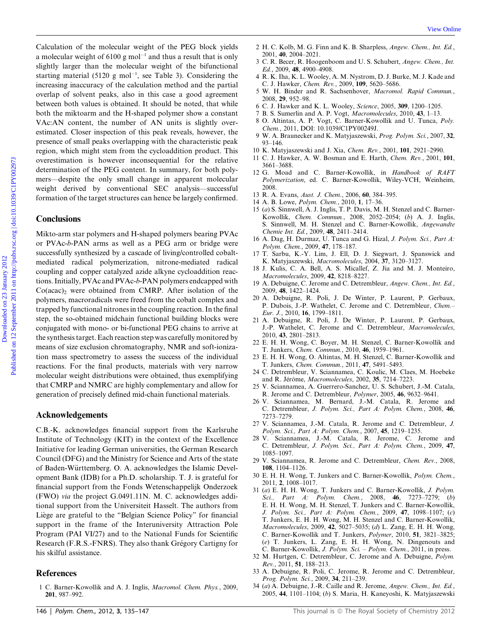Calculation of the molecular weight of the PEG block yields a molecular weight of  $6100$  g mol<sup>-1</sup> and thus a result that is only slightly larger than the molecular weight of the bifunctional starting material  $(5120 \text{ g mol}^{-1})$ , see Table 3). Considering the increasing inaccuracy of the calculation method and the partial overlap of solvent peaks, also in this case a good agreement between both values is obtained. It should be noted, that while both the miktoarm and the H-shaped polymer show a constant VAc:AN content, the number of AN units is slightly overestimated. Closer inspection of this peak reveals, however, the presence of small peaks overlapping with the characteristic peak region, which might stem from the cycloaddition product. This overestimation is however inconsequential for the relative determination of the PEG content. In summary, for both polymers—despite the only small change in apparent molecular weight derived by conventional SEC analysis—successful formation of the target structures can hence be largely confirmed. Colemation of the nodescale weight of the PEG interactional 2  $\mu$ C Kole) M.G. Fins and U.S. Scharaker, Oten, Interactional engines of 610 published on the matter of the published on the september 2012 Published on the se

#### **Conclusions**

Mikto-arm star polymers and H-shaped polymers bearing PVAc or PVAc-b-PAN arms as well as a PEG arm or bridge were successfully synthesized by a cascade of living/controlled cobaltmediated radical polymerization, nitrone-mediated radical coupling and copper catalyzed azide alkyne cycloaddition reactions. Initially, PVAc and PVAc-b-PAN polymers endcapped with  $Co(acac)$ , were obtained from CMRP. After isolation of the polymers, macroradicals were freed from the cobalt complex and trapped by functional nitrones in the coupling reaction. In the final step, the so-obtained midchain functional building blocks were conjugated with mono- or bi-functional PEG chains to arrive at the synthesis target. Each reaction step was carefully monitored by means of size exclusion chromatography, NMR and soft-ionization mass spectrometry to assess the success of the individual reactions. For the final products, materials with very narrow molecular weight distributions were obtained, thus exemplifying that CMRP and NMRC are highly complementary and allow for generation of precisely defined mid-chain functional materials.

#### Acknowledgements

C.B.-K. acknowledges financial support from the Karlsruhe Institute of Technology (KIT) in the context of the Excellence Initiative for leading German universities, the German Research Council (DFG) and the Ministry for Science and Arts of the state of Baden-Württemberg. O. A. acknowledges the Islamic Development Bank (IDB) for a Ph.D. scholarship. T. J. is grateful for financial support from the Fonds Wetenschappelijk Onderzoek (FWO) via the project G.0491.11N. M. C. acknowledges additional support from the Universiteit Hasselt. The authors from Liege are grateful to the ''Belgian Science Policy'' for financial support in the frame of the Interuniversity Attraction Pole Program (PAI VI/27) and to the National Funds for Scientific Research (F.R.S.-FNRS). They also thank Grégory Cartigny for his skilful assistance.

# References

1 C. Barner-Kowollik and A. J. Inglis, Macromol. Chem. Phys., 2009, 201, 987–992.

- 2 H. C. Kolb, M. G. Finn and K. B. Sharpless, Angew. Chem., Int. Ed., 2001, 40, 2004–2021.
- 3 C. R. Becer, R. Hoogenboom and U. S. Schubert, Angew. Chem., Int. Ed., 2009, 48, 4900–4908.
- 4 R. K. Iha, K. L. Wooley, A. M. Nystrom, D. J. Burke, M. J. Kade and C. J. Hawker, Chem. Rev., 2009, 109, 5620–5686.
- 5 W. H. Binder and R. Sachsenhover, Macromol. Rapid Commun., 2008, 29, 952–98.
- 6 C. J. Hawker and K. L. Wooley, Science, 2005, 309, 1200–1205.
- 7 B. S. Sumerlin and A. P. Vogt, Macromolecules, 2010, 43, 1–13.
- 8 O. Altintas, A. P. Vogt, C. Barner-Kowollik and U. Tunca, Poly. Chem., 2011, DOI: 10.1039/C1PY00249J.
- 9 W. A. Braunecker and K. Matyjaszewski, Prog. Polym. Sci., 2007, 32, 93–146.
- 10 K. Matyjaszewski and J. Xia, Chem. Rev., 2001, 101, 2921–2990.
- 11 C. J. Hawker, A. W. Bosman and E. Harth, Chem. Rev., 2001, 101, 3661–3688.
- 12 G. Moad and C. Barner-Kowollik, in Handbook of RAFT Polymerization, ed. C. Barner-Kowollik, Wiley-VCH, Weinheim, 2008.
- 13 R. A. Evans, Aust. J. Chem., 2006, 60, 384–395.
- 14 A. B. Lowe, Polym. Chem., 2010, 1, 17–36.
- 15 (a) S. Sinnwell, A. J. Inglis, T. P. Davis, M. H. Stenzel and C. Barner-Kowollik, Chem. Commun., 2008, 2052–2054; (b) A. J. Inglis, S. Sinnwell, M. H. Stenzel and C. Barner-Kowollik, Angewandte Chemie Int. Ed., 2009, 48, 2411–2414.
- 16 A. Dag, H. Durmaz, U. Tunca and G. Hizal, J. Polym. Sci., Part A: Polym. Chem., 2009, 47, 178–187.
- 17 T. Sarbu, K.-Y. Lim, J. Ell, D. J. Siegwart, J. Spanswick and K. Matyjaszewski, Macromolecules, 2004, 37, 3120–3127.
- 18 J. Kulis, C. A. Bell, A. S. Micallef, Z. Jia and M. J. Monteiro, Macromolecules, 2009, 42, 8218–8227.
- 19 A. Debuigne, C. Jerome and C. Detrembleur, Angew. Chem., Int. Ed., 2009, 48, 1422–1424.
- 20 A. Debuigne, R. Poli, J. De Winter, P. Laurent, P. Gerbaux, P. Dubois, J.-P. Wathelet, C. Jerome and C. Detrembleur, Chem.– Eur. J., 2010, 16, 1799–1811.
- 21 A. Debuigne, R. Poli, J. De Winter, P. Laurent, P. Gerbaux, J.-P. Wathelet, C. Jerome and C. Detrembleur, Macromolecules, 2010, 43, 2801–2813.
- 22 E. H. H. Wong, C. Boyer, M. H. Stenzel, C. Barner-Kowollik and T. Junkers, Chem. Commun., 2010, 46, 1959–1961.
- 23 E. H. H. Wong, O. Altintas, M. H. Stenzel, C. Barner-Kowollik and T. Junkers, Chem. Commun., 2011, 47, 5491–5493.
- 24 C. Detrembleur, V. Sciannamea, C. Koulic, M. Claes, M. Hoebeke and R. Jérôme, Macromolecules, 2002, 35, 7214–7223.
- 25 V. Sciannamea, A. Guerrero-Sanchez, U. S. Schubert, J.-M. Catala, R. Jerome and C. Detrembleur, Polymer, 2005, 46, 9632–9641.
- 26 V. Sciannamea, M. Bernard, J.-M. Catala, R. Jerome and C. Detrembleur, J. Polym. Sci., Part A: Polym. Chem., 2008, 46, 7273–7279.
- 27 V. Sciannamea, J.-M. Catala, R. Jerome and C. Detrembleur, J. Polym. Sci., Part A: Polym. Chem., 2007, 45, 1219–1235.
- 28 V. Sciannamea, J.-M. Catala, R. Jerome, C. Jerome and C. Detrembleur, J. Polym. Sci., Part A: Polym. Chem., 2009, 47, 1085–1097.
- 29 V. Sciannamea, R. Jerome and C. Detrembleur, Chem. Rev., 2008, 108, 1104–1126.
- 30 E. H. H. Wong, T. Junkers and C. Barner-Kowollik, Polym. Chem., 2011, 2, 1008–1017.
- 31 (a) E. H. H. Wong, T. Junkers and C. Barner-Kowollik, J. Polym. Sci., Part A: Polym. Chem., 2008, 46, 7273–7279; (b) E. H. H. Wong, M. H. Stenzel, T. Junkers and C. Barner-Kowollik, J. Polym. Sci., Part A: Polym. Chem., 2009, 47, 1098–1107; (c) T. Junkers, E. H. H. Wong, M. H. Stenzel and C. Barner-Kowollik, Macromolecules, 2009, 42, 5027–5035; (d) L. Zang, E. H. H. Wong, C. Barner-Kowollik and T. Junkers, Polymer, 2010, 51, 3821–3825; (e) T. Junkers, L. Zang, E. H. H. Wong, N. Dingenouts and C. Barner-Kowollik, J. Polym. Sci. – Polym. Chem., 2011, in press.
- 32 M. Hurtgen, C. Detrembleur, C. Jerome and A. Debuigne, Polym. Rev., 2011, 51, 188–213.
- 33 A. Debuigne, R. Poli, C. Jerome, R. Jerome and C. Detrembleur, Prog. Polym. Sci., 2009, 34, 211–239.
- 34 (a) A. Debuigne, J.-R. Caille and R. Jerome, Angew. Chem., Int. Ed., 2005, 44, 1101–1104; (b) S. Maria, H. Kaneyoshi, K. Matyjaszewski